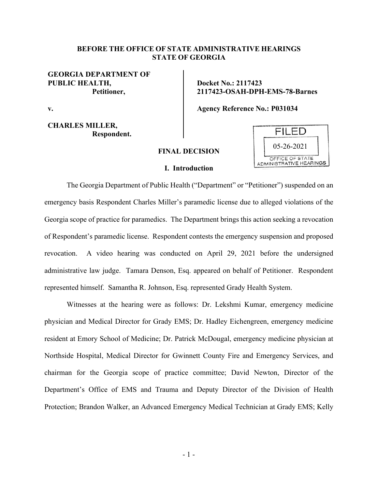# **BEFORE THE OFFICE OF STATE ADMINISTRATIVE HEARINGS STATE OF GEORGIA**

# **GEORGIA DEPARTMENT OF PUBLIC HEALTH, Petitioner,**

**v.**

**CHARLES MILLER, Respondent.** **Docket No.: 2117423 2117423-OSAH-DPH-EMS-78-Barnes**

**Agency Reference No.: P031034**

# **FINAL DECISION**

## **I. Introduction**



The Georgia Department of Public Health ("Department" or "Petitioner") suspended on an emergency basis Respondent Charles Miller's paramedic license due to alleged violations of the Georgia scope of practice for paramedics. The Department brings this action seeking a revocation of Respondent's paramedic license. Respondent contests the emergency suspension and proposed revocation. A video hearing was conducted on April 29, 2021 before the undersigned administrative law judge. Tamara Denson, Esq. appeared on behalf of Petitioner. Respondent represented himself. Samantha R. Johnson, Esq. represented Grady Health System.

Witnesses at the hearing were as follows: Dr. Lekshmi Kumar, emergency medicine physician and Medical Director for Grady EMS; Dr. Hadley Eichengreen, emergency medicine resident at Emory School of Medicine; Dr. Patrick McDougal, emergency medicine physician at Northside Hospital, Medical Director for Gwinnett County Fire and Emergency Services, and chairman for the Georgia scope of practice committee; David Newton, Director of the Department's Office of EMS and Trauma and Deputy Director of the Division of Health Protection; Brandon Walker, an Advanced Emergency Medical Technician at Grady EMS; Kelly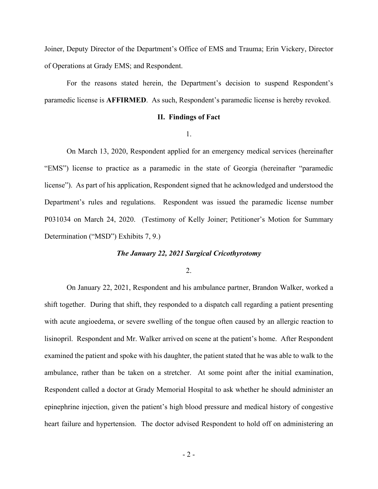Joiner, Deputy Director of the Department's Office of EMS and Trauma; Erin Vickery, Director of Operations at Grady EMS; and Respondent.

For the reasons stated herein, the Department's decision to suspend Respondent's paramedic license is **AFFIRMED**. As such, Respondent's paramedic license is hereby revoked.

## **II. Findings of Fact**

1.

On March 13, 2020, Respondent applied for an emergency medical services (hereinafter "EMS") license to practice as a paramedic in the state of Georgia (hereinafter "paramedic license"). As part of his application, Respondent signed that he acknowledged and understood the Department's rules and regulations. Respondent was issued the paramedic license number P031034 on March 24, 2020. (Testimony of Kelly Joiner; Petitioner's Motion for Summary Determination ("MSD") Exhibits 7, 9.)

## *The January 22, 2021 Surgical Cricothyrotomy*

2.

On January 22, 2021, Respondent and his ambulance partner, Brandon Walker, worked a shift together. During that shift, they responded to a dispatch call regarding a patient presenting with acute angioedema, or severe swelling of the tongue often caused by an allergic reaction to lisinopril. Respondent and Mr. Walker arrived on scene at the patient's home. After Respondent examined the patient and spoke with his daughter, the patient stated that he was able to walk to the ambulance, rather than be taken on a stretcher. At some point after the initial examination, Respondent called a doctor at Grady Memorial Hospital to ask whether he should administer an epinephrine injection, given the patient's high blood pressure and medical history of congestive heart failure and hypertension. The doctor advised Respondent to hold off on administering an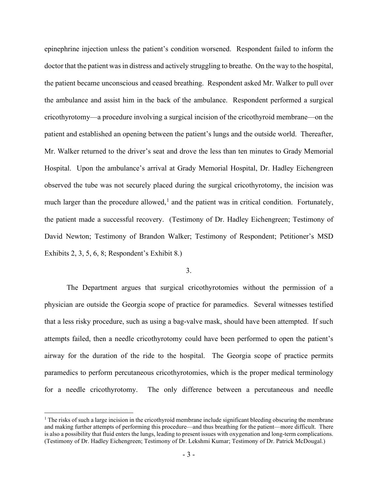epinephrine injection unless the patient's condition worsened. Respondent failed to inform the doctor that the patient was in distress and actively struggling to breathe. On the way to the hospital, the patient became unconscious and ceased breathing. Respondent asked Mr. Walker to pull over the ambulance and assist him in the back of the ambulance. Respondent performed a surgical cricothyrotomy––a procedure involving a surgical incision of the cricothyroid membrane––on the patient and established an opening between the patient's lungs and the outside world. Thereafter, Mr. Walker returned to the driver's seat and drove the less than ten minutes to Grady Memorial Hospital. Upon the ambulance's arrival at Grady Memorial Hospital, Dr. Hadley Eichengreen observed the tube was not securely placed during the surgical cricothyrotomy, the incision was much larger than the procedure allowed,<sup>[1](#page-2-0)</sup> and the patient was in critical condition. Fortunately, the patient made a successful recovery. (Testimony of Dr. Hadley Eichengreen; Testimony of David Newton; Testimony of Brandon Walker; Testimony of Respondent; Petitioner's MSD Exhibits 2, 3, 5, 6, 8; Respondent's Exhibit 8.)

# 3.

The Department argues that surgical cricothyrotomies without the permission of a physician are outside the Georgia scope of practice for paramedics. Several witnesses testified that a less risky procedure, such as using a bag-valve mask, should have been attempted. If such attempts failed, then a needle cricothyrotomy could have been performed to open the patient's airway for the duration of the ride to the hospital. The Georgia scope of practice permits paramedics to perform percutaneous cricothyrotomies, which is the proper medical terminology for a needle cricothyrotomy. The only difference between a percutaneous and needle

<span id="page-2-0"></span> $<sup>1</sup>$  The risks of such a large incision in the cricothyroid membrane include significant bleeding obscuring the membrane</sup> and making further attempts of performing this procedure––and thus breathing for the patient––more difficult. There is also a possibility that fluid enters the lungs, leading to present issues with oxygenation and long-term complications. (Testimony of Dr. Hadley Eichengreen; Testimony of Dr. Lekshmi Kumar; Testimony of Dr. Patrick McDougal.)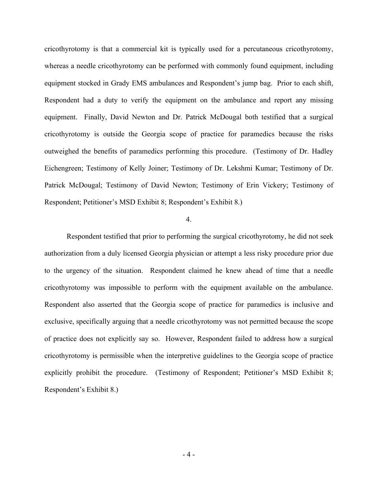cricothyrotomy is that a commercial kit is typically used for a percutaneous cricothyrotomy, whereas a needle cricothyrotomy can be performed with commonly found equipment, including equipment stocked in Grady EMS ambulances and Respondent's jump bag. Prior to each shift, Respondent had a duty to verify the equipment on the ambulance and report any missing equipment. Finally, David Newton and Dr. Patrick McDougal both testified that a surgical cricothyrotomy is outside the Georgia scope of practice for paramedics because the risks outweighed the benefits of paramedics performing this procedure. (Testimony of Dr. Hadley Eichengreen; Testimony of Kelly Joiner; Testimony of Dr. Lekshmi Kumar; Testimony of Dr. Patrick McDougal; Testimony of David Newton; Testimony of Erin Vickery; Testimony of Respondent; Petitioner's MSD Exhibit 8; Respondent's Exhibit 8.)

# 4.

Respondent testified that prior to performing the surgical cricothyrotomy, he did not seek authorization from a duly licensed Georgia physician or attempt a less risky procedure prior due to the urgency of the situation. Respondent claimed he knew ahead of time that a needle cricothyrotomy was impossible to perform with the equipment available on the ambulance. Respondent also asserted that the Georgia scope of practice for paramedics is inclusive and exclusive, specifically arguing that a needle cricothyrotomy was not permitted because the scope of practice does not explicitly say so. However, Respondent failed to address how a surgical cricothyrotomy is permissible when the interpretive guidelines to the Georgia scope of practice explicitly prohibit the procedure. (Testimony of Respondent; Petitioner's MSD Exhibit 8; Respondent's Exhibit 8.)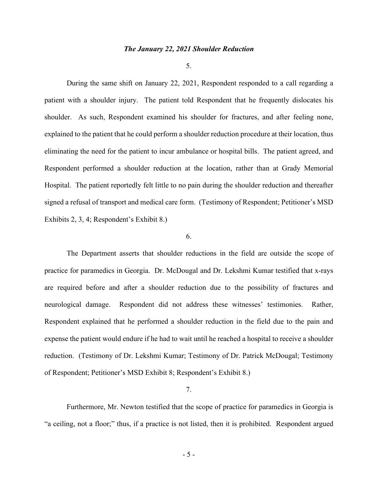### *The January 22, 2021 Shoulder Reduction*

5.

During the same shift on January 22, 2021, Respondent responded to a call regarding a patient with a shoulder injury. The patient told Respondent that he frequently dislocates his shoulder. As such, Respondent examined his shoulder for fractures, and after feeling none, explained to the patient that he could perform a shoulder reduction procedure at their location, thus eliminating the need for the patient to incur ambulance or hospital bills. The patient agreed, and Respondent performed a shoulder reduction at the location, rather than at Grady Memorial Hospital. The patient reportedly felt little to no pain during the shoulder reduction and thereafter signed a refusal of transport and medical care form. (Testimony of Respondent; Petitioner's MSD Exhibits 2, 3, 4; Respondent's Exhibit 8.)

#### 6.

The Department asserts that shoulder reductions in the field are outside the scope of practice for paramedics in Georgia. Dr. McDougal and Dr. Lekshmi Kumar testified that x-rays are required before and after a shoulder reduction due to the possibility of fractures and neurological damage. Respondent did not address these witnesses' testimonies. Rather, Respondent explained that he performed a shoulder reduction in the field due to the pain and expense the patient would endure if he had to wait until he reached a hospital to receive a shoulder reduction. (Testimony of Dr. Lekshmi Kumar; Testimony of Dr. Patrick McDougal; Testimony of Respondent; Petitioner's MSD Exhibit 8; Respondent's Exhibit 8.)

### 7.

Furthermore, Mr. Newton testified that the scope of practice for paramedics in Georgia is "a ceiling, not a floor;" thus, if a practice is not listed, then it is prohibited. Respondent argued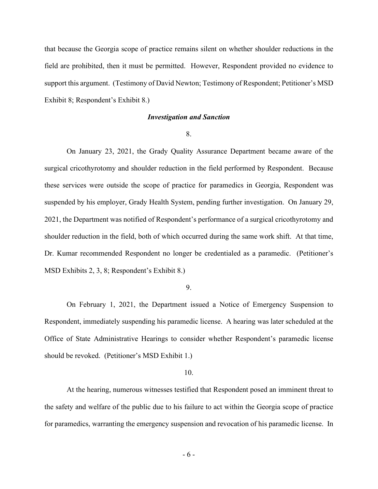that because the Georgia scope of practice remains silent on whether shoulder reductions in the field are prohibited, then it must be permitted. However, Respondent provided no evidence to support this argument. (Testimony of David Newton; Testimony of Respondent; Petitioner's MSD Exhibit 8; Respondent's Exhibit 8.)

### *Investigation and Sanction*

8.

On January 23, 2021, the Grady Quality Assurance Department became aware of the surgical cricothyrotomy and shoulder reduction in the field performed by Respondent. Because these services were outside the scope of practice for paramedics in Georgia, Respondent was suspended by his employer, Grady Health System, pending further investigation. On January 29, 2021, the Department was notified of Respondent's performance of a surgical cricothyrotomy and shoulder reduction in the field, both of which occurred during the same work shift. At that time, Dr. Kumar recommended Respondent no longer be credentialed as a paramedic. (Petitioner's MSD Exhibits 2, 3, 8; Respondent's Exhibit 8.)

9.

On February 1, 2021, the Department issued a Notice of Emergency Suspension to Respondent, immediately suspending his paramedic license. A hearing was later scheduled at the Office of State Administrative Hearings to consider whether Respondent's paramedic license should be revoked. (Petitioner's MSD Exhibit 1.)

#### 10.

At the hearing, numerous witnesses testified that Respondent posed an imminent threat to the safety and welfare of the public due to his failure to act within the Georgia scope of practice for paramedics, warranting the emergency suspension and revocation of his paramedic license. In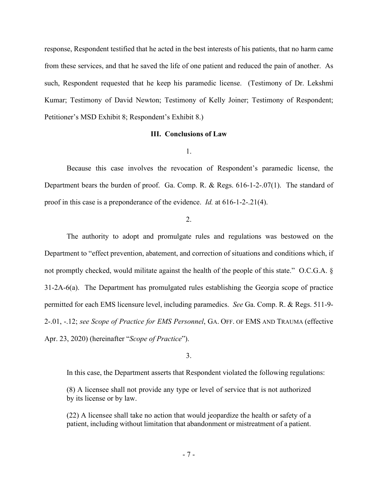response, Respondent testified that he acted in the best interests of his patients, that no harm came from these services, and that he saved the life of one patient and reduced the pain of another. As such, Respondent requested that he keep his paramedic license. (Testimony of Dr. Lekshmi Kumar; Testimony of David Newton; Testimony of Kelly Joiner; Testimony of Respondent; Petitioner's MSD Exhibit 8; Respondent's Exhibit 8.)

## **III. Conclusions of Law**

#### 1.

Because this case involves the revocation of Respondent's paramedic license, the Department bears the burden of proof. Ga. Comp. R. & Regs. 616-1-2-.07(1). The standard of proof in this case is a preponderance of the evidence. *Id.* at 616-1-2-.21(4).

### 2.

The authority to adopt and promulgate rules and regulations was bestowed on the Department to "effect prevention, abatement, and correction of situations and conditions which, if not promptly checked, would militate against the health of the people of this state." O.C.G.A. § 31-2A-6(a). The Department has promulgated rules establishing the Georgia scope of practice permitted for each EMS licensure level, including paramedics. *See* Ga. Comp. R. & Regs. 511-9- 2-.01, -.12; *see Scope of Practice for EMS Personnel*, GA. OFF. OF EMS AND TRAUMA (effective Apr. 23, 2020) (hereinafter "*Scope of Practice*").

#### 3.

In this case, the Department asserts that Respondent violated the following regulations:

(8) A licensee shall not provide any type or level of service that is not authorized by its license or by law.

(22) A licensee shall take no action that would jeopardize the health or safety of a patient, including without limitation that abandonment or mistreatment of a patient.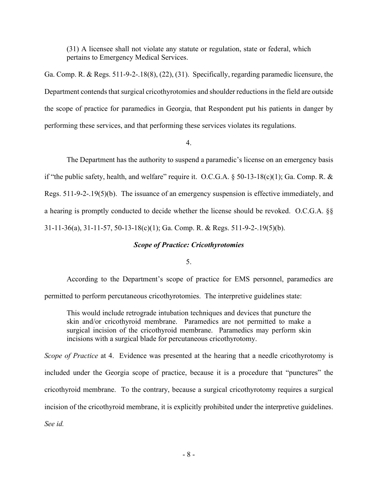(31) A licensee shall not violate any statute or regulation, state or federal, which pertains to Emergency Medical Services.

Ga. Comp. R. & Regs. 511-9-2-.18(8), (22), (31). Specifically, regarding paramedic licensure, the Department contends that surgical cricothyrotomies and shoulder reductions in the field are outside the scope of practice for paramedics in Georgia, that Respondent put his patients in danger by performing these services, and that performing these services violates its regulations.

4.

The Department has the authority to suspend a paramedic's license on an emergency basis if "the public safety, health, and welfare" require it. O.C.G.A.  $\S$  50-13-18(c)(1); Ga. Comp. R. & Regs. 511-9-2-.19(5)(b). The issuance of an emergency suspension is effective immediately, and a hearing is promptly conducted to decide whether the license should be revoked. O.C.G.A. §§ 31-11-36(a), 31-11-57, 50-13-18(c)(1); Ga. Comp. R. & Regs. 511-9-2-.19(5)(b).

# *Scope of Practice: Cricothyrotomies*

# 5.

According to the Department's scope of practice for EMS personnel, paramedics are permitted to perform percutaneous cricothyrotomies. The interpretive guidelines state:

This would include retrograde intubation techniques and devices that puncture the skin and/or cricothyroid membrane. Paramedics are not permitted to make a surgical incision of the cricothyroid membrane. Paramedics may perform skin incisions with a surgical blade for percutaneous cricothyrotomy.

*Scope of Practice* at 4. Evidence was presented at the hearing that a needle cricothyrotomy is included under the Georgia scope of practice, because it is a procedure that "punctures" the cricothyroid membrane. To the contrary, because a surgical cricothyrotomy requires a surgical incision of the cricothyroid membrane, it is explicitly prohibited under the interpretive guidelines. *See id.*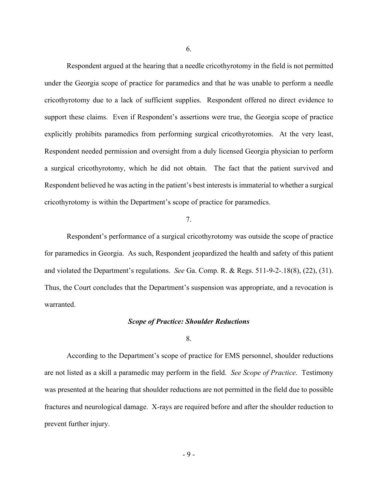Respondent argued at the hearing that a needle cricothyrotomy in the field is not permitted under the Georgia scope of practice for paramedics and that he was unable to perform a needle cricothyrotomy due to a lack of sufficient supplies. Respondent offered no direct evidence to support these claims. Even if Respondent's assertions were true, the Georgia scope of practice explicitly prohibits paramedics from performing surgical cricothyrotomies. At the very least, Respondent needed permission and oversight from a duly licensed Georgia physician to perform a surgical cricothyrotomy, which he did not obtain. The fact that the patient survived and Respondent believed he was acting in the patient's best interests is immaterial to whether a surgical cricothyrotomy is within the Department's scope of practice for paramedics.

# 7.

Respondent's performance of a surgical cricothyrotomy was outside the scope of practice for paramedics in Georgia. As such, Respondent jeopardized the health and safety of this patient and violated the Department's regulations. *See* Ga. Comp. R. & Regs. 511-9-2-.18(8), (22), (31). Thus, the Court concludes that the Department's suspension was appropriate, and a revocation is warranted.

### *Scope of Practice: Shoulder Reductions*

#### 8.

According to the Department's scope of practice for EMS personnel, shoulder reductions are not listed as a skill a paramedic may perform in the field. *See Scope of Practice*. Testimony was presented at the hearing that shoulder reductions are not permitted in the field due to possible fractures and neurological damage. X-rays are required before and after the shoulder reduction to prevent further injury.